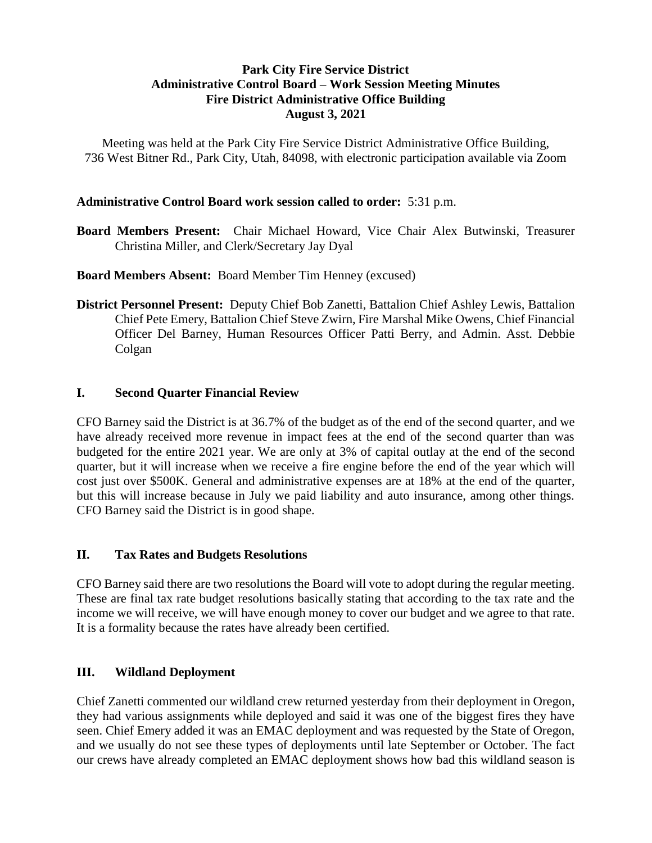## **Park City Fire Service District Administrative Control Board – Work Session Meeting Minutes Fire District Administrative Office Building August 3, 2021**

Meeting was held at the Park City Fire Service District Administrative Office Building, 736 West Bitner Rd., Park City, Utah, 84098, with electronic participation available via Zoom

## **Administrative Control Board work session called to order:** 5:31 p.m.

**Board Members Present:** Chair Michael Howard, Vice Chair Alex Butwinski, Treasurer Christina Miller, and Clerk/Secretary Jay Dyal

**Board Members Absent:** Board Member Tim Henney (excused)

**District Personnel Present:** Deputy Chief Bob Zanetti, Battalion Chief Ashley Lewis, Battalion Chief Pete Emery, Battalion Chief Steve Zwirn, Fire Marshal Mike Owens, Chief Financial Officer Del Barney, Human Resources Officer Patti Berry, and Admin. Asst. Debbie Colgan

### **I. Second Quarter Financial Review**

CFO Barney said the District is at 36.7% of the budget as of the end of the second quarter, and we have already received more revenue in impact fees at the end of the second quarter than was budgeted for the entire 2021 year. We are only at 3% of capital outlay at the end of the second quarter, but it will increase when we receive a fire engine before the end of the year which will cost just over \$500K. General and administrative expenses are at 18% at the end of the quarter, but this will increase because in July we paid liability and auto insurance, among other things. CFO Barney said the District is in good shape.

#### **II. Tax Rates and Budgets Resolutions**

CFO Barney said there are two resolutions the Board will vote to adopt during the regular meeting. These are final tax rate budget resolutions basically stating that according to the tax rate and the income we will receive, we will have enough money to cover our budget and we agree to that rate. It is a formality because the rates have already been certified.

## **III. Wildland Deployment**

Chief Zanetti commented our wildland crew returned yesterday from their deployment in Oregon, they had various assignments while deployed and said it was one of the biggest fires they have seen. Chief Emery added it was an EMAC deployment and was requested by the State of Oregon, and we usually do not see these types of deployments until late September or October. The fact our crews have already completed an EMAC deployment shows how bad this wildland season is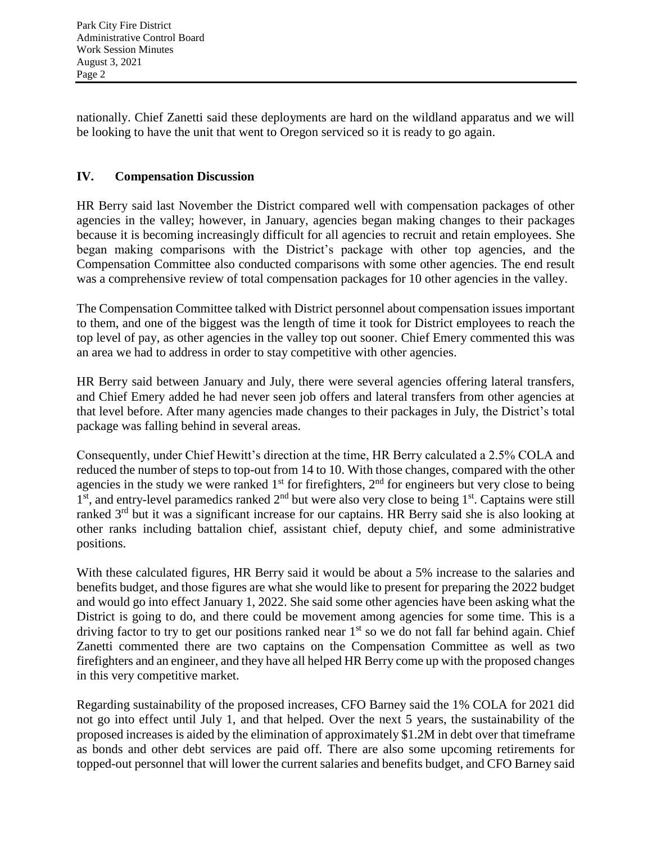nationally. Chief Zanetti said these deployments are hard on the wildland apparatus and we will be looking to have the unit that went to Oregon serviced so it is ready to go again.

# **IV. Compensation Discussion**

HR Berry said last November the District compared well with compensation packages of other agencies in the valley; however, in January, agencies began making changes to their packages because it is becoming increasingly difficult for all agencies to recruit and retain employees. She began making comparisons with the District's package with other top agencies, and the Compensation Committee also conducted comparisons with some other agencies. The end result was a comprehensive review of total compensation packages for 10 other agencies in the valley.

The Compensation Committee talked with District personnel about compensation issues important to them, and one of the biggest was the length of time it took for District employees to reach the top level of pay, as other agencies in the valley top out sooner. Chief Emery commented this was an area we had to address in order to stay competitive with other agencies.

HR Berry said between January and July, there were several agencies offering lateral transfers, and Chief Emery added he had never seen job offers and lateral transfers from other agencies at that level before. After many agencies made changes to their packages in July, the District's total package was falling behind in several areas.

Consequently, under Chief Hewitt's direction at the time, HR Berry calculated a 2.5% COLA and reduced the number of steps to top-out from 14 to 10. With those changes, compared with the other agencies in the study we were ranked  $1<sup>st</sup>$  for firefighters,  $2<sup>nd</sup>$  for engineers but very close to being 1<sup>st</sup>, and entry-level paramedics ranked 2<sup>nd</sup> but were also very close to being 1<sup>st</sup>. Captains were still ranked 3rd but it was a significant increase for our captains. HR Berry said she is also looking at other ranks including battalion chief, assistant chief, deputy chief, and some administrative positions.

With these calculated figures, HR Berry said it would be about a 5% increase to the salaries and benefits budget, and those figures are what she would like to present for preparing the 2022 budget and would go into effect January 1, 2022. She said some other agencies have been asking what the District is going to do, and there could be movement among agencies for some time. This is a driving factor to try to get our positions ranked near  $1<sup>st</sup>$  so we do not fall far behind again. Chief Zanetti commented there are two captains on the Compensation Committee as well as two firefighters and an engineer, and they have all helped HR Berry come up with the proposed changes in this very competitive market.

Regarding sustainability of the proposed increases, CFO Barney said the 1% COLA for 2021 did not go into effect until July 1, and that helped. Over the next 5 years, the sustainability of the proposed increases is aided by the elimination of approximately \$1.2M in debt over that timeframe as bonds and other debt services are paid off. There are also some upcoming retirements for topped-out personnel that will lower the current salaries and benefits budget, and CFO Barney said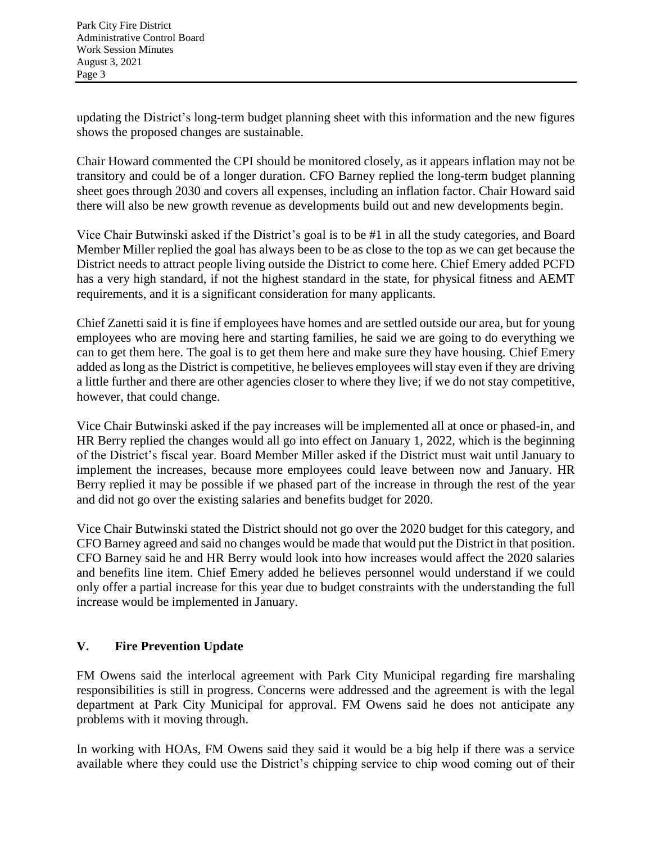updating the District's long-term budget planning sheet with this information and the new figures shows the proposed changes are sustainable.

Chair Howard commented the CPI should be monitored closely, as it appears inflation may not be transitory and could be of a longer duration. CFO Barney replied the long-term budget planning sheet goes through 2030 and covers all expenses, including an inflation factor. Chair Howard said there will also be new growth revenue as developments build out and new developments begin.

Vice Chair Butwinski asked if the District's goal is to be #1 in all the study categories, and Board Member Miller replied the goal has always been to be as close to the top as we can get because the District needs to attract people living outside the District to come here. Chief Emery added PCFD has a very high standard, if not the highest standard in the state, for physical fitness and AEMT requirements, and it is a significant consideration for many applicants.

Chief Zanetti said it is fine if employees have homes and are settled outside our area, but for young employees who are moving here and starting families, he said we are going to do everything we can to get them here. The goal is to get them here and make sure they have housing. Chief Emery added as long as the District is competitive, he believes employees will stay even if they are driving a little further and there are other agencies closer to where they live; if we do not stay competitive, however, that could change.

Vice Chair Butwinski asked if the pay increases will be implemented all at once or phased-in, and HR Berry replied the changes would all go into effect on January 1, 2022, which is the beginning of the District's fiscal year. Board Member Miller asked if the District must wait until January to implement the increases, because more employees could leave between now and January. HR Berry replied it may be possible if we phased part of the increase in through the rest of the year and did not go over the existing salaries and benefits budget for 2020.

Vice Chair Butwinski stated the District should not go over the 2020 budget for this category, and CFO Barney agreed and said no changes would be made that would put the District in that position. CFO Barney said he and HR Berry would look into how increases would affect the 2020 salaries and benefits line item. Chief Emery added he believes personnel would understand if we could only offer a partial increase for this year due to budget constraints with the understanding the full increase would be implemented in January.

# **V. Fire Prevention Update**

FM Owens said the interlocal agreement with Park City Municipal regarding fire marshaling responsibilities is still in progress. Concerns were addressed and the agreement is with the legal department at Park City Municipal for approval. FM Owens said he does not anticipate any problems with it moving through.

In working with HOAs, FM Owens said they said it would be a big help if there was a service available where they could use the District's chipping service to chip wood coming out of their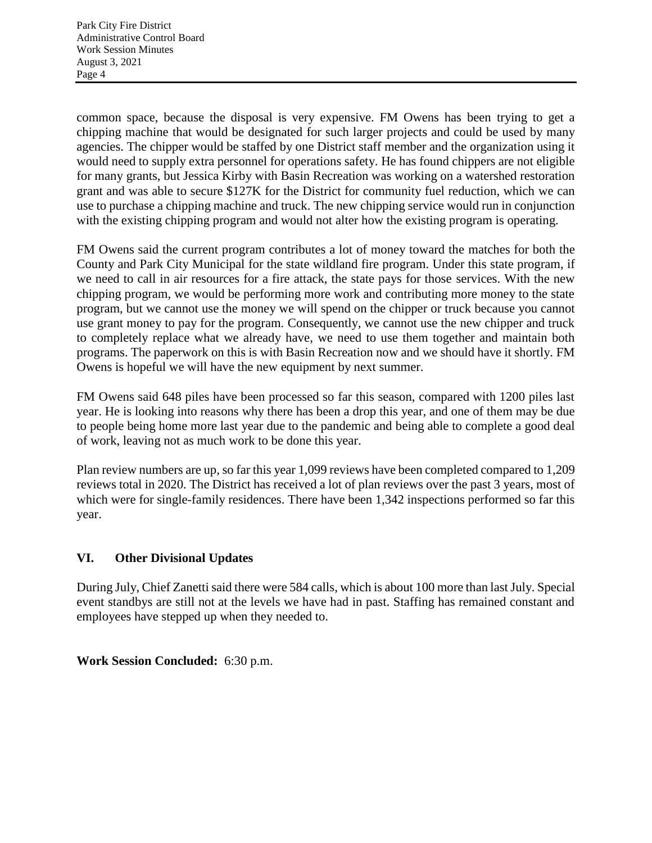common space, because the disposal is very expensive. FM Owens has been trying to get a chipping machine that would be designated for such larger projects and could be used by many agencies. The chipper would be staffed by one District staff member and the organization using it would need to supply extra personnel for operations safety. He has found chippers are not eligible for many grants, but Jessica Kirby with Basin Recreation was working on a watershed restoration grant and was able to secure \$127K for the District for community fuel reduction, which we can use to purchase a chipping machine and truck. The new chipping service would run in conjunction with the existing chipping program and would not alter how the existing program is operating.

FM Owens said the current program contributes a lot of money toward the matches for both the County and Park City Municipal for the state wildland fire program. Under this state program, if we need to call in air resources for a fire attack, the state pays for those services. With the new chipping program, we would be performing more work and contributing more money to the state program, but we cannot use the money we will spend on the chipper or truck because you cannot use grant money to pay for the program. Consequently, we cannot use the new chipper and truck to completely replace what we already have, we need to use them together and maintain both programs. The paperwork on this is with Basin Recreation now and we should have it shortly. FM Owens is hopeful we will have the new equipment by next summer.

FM Owens said 648 piles have been processed so far this season, compared with 1200 piles last year. He is looking into reasons why there has been a drop this year, and one of them may be due to people being home more last year due to the pandemic and being able to complete a good deal of work, leaving not as much work to be done this year.

Plan review numbers are up, so far this year 1,099 reviews have been completed compared to 1,209 reviews total in 2020. The District has received a lot of plan reviews over the past 3 years, most of which were for single-family residences. There have been 1,342 inspections performed so far this year.

## **VI. Other Divisional Updates**

During July, Chief Zanetti said there were 584 calls, which is about 100 more than last July. Special event standbys are still not at the levels we have had in past. Staffing has remained constant and employees have stepped up when they needed to.

## **Work Session Concluded:** 6:30 p.m.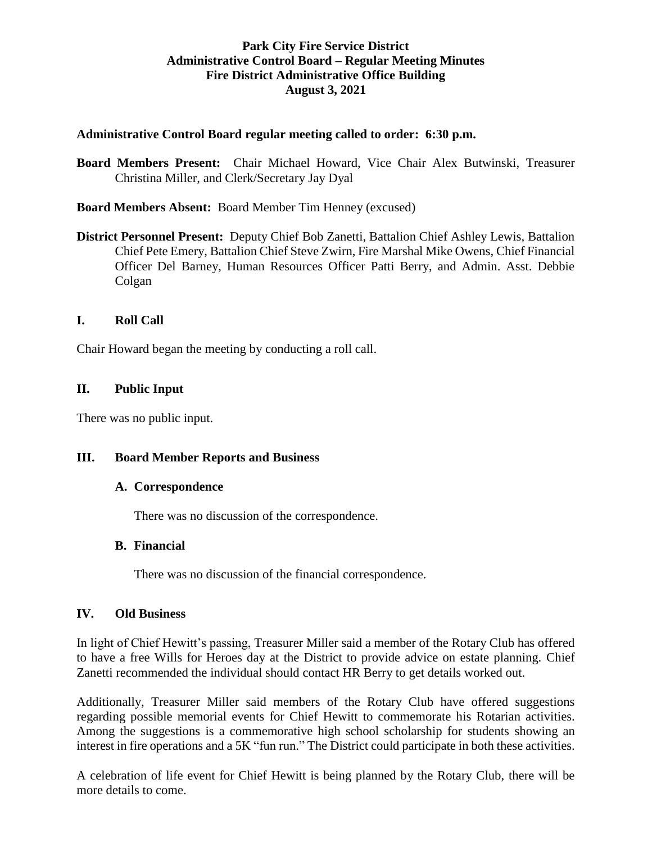## **Park City Fire Service District Administrative Control Board – Regular Meeting Minutes Fire District Administrative Office Building August 3, 2021**

## **Administrative Control Board regular meeting called to order: 6:30 p.m.**

**Board Members Present:** Chair Michael Howard, Vice Chair Alex Butwinski, Treasurer Christina Miller, and Clerk/Secretary Jay Dyal

**Board Members Absent:** Board Member Tim Henney (excused)

**District Personnel Present:** Deputy Chief Bob Zanetti, Battalion Chief Ashley Lewis, Battalion Chief Pete Emery, Battalion Chief Steve Zwirn, Fire Marshal Mike Owens, Chief Financial Officer Del Barney, Human Resources Officer Patti Berry, and Admin. Asst. Debbie Colgan

## **I. Roll Call**

Chair Howard began the meeting by conducting a roll call.

## **II. Public Input**

There was no public input.

## **III. Board Member Reports and Business**

#### **A. Correspondence**

There was no discussion of the correspondence.

#### **B. Financial**

There was no discussion of the financial correspondence.

#### **IV. Old Business**

In light of Chief Hewitt's passing, Treasurer Miller said a member of the Rotary Club has offered to have a free Wills for Heroes day at the District to provide advice on estate planning. Chief Zanetti recommended the individual should contact HR Berry to get details worked out.

Additionally, Treasurer Miller said members of the Rotary Club have offered suggestions regarding possible memorial events for Chief Hewitt to commemorate his Rotarian activities. Among the suggestions is a commemorative high school scholarship for students showing an interest in fire operations and a 5K "fun run." The District could participate in both these activities.

A celebration of life event for Chief Hewitt is being planned by the Rotary Club, there will be more details to come.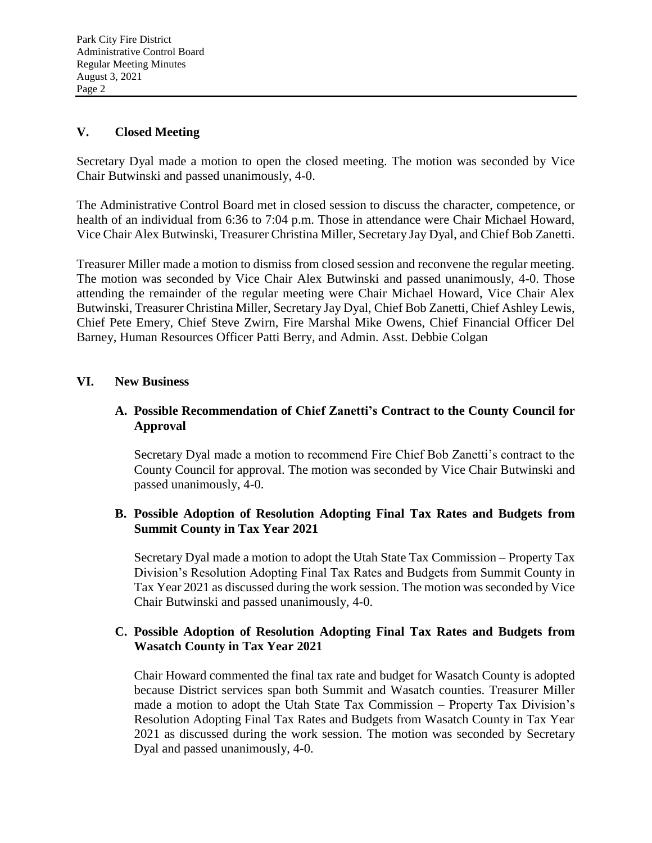## **V. Closed Meeting**

Secretary Dyal made a motion to open the closed meeting. The motion was seconded by Vice Chair Butwinski and passed unanimously, 4-0.

The Administrative Control Board met in closed session to discuss the character, competence, or health of an individual from 6:36 to 7:04 p.m. Those in attendance were Chair Michael Howard, Vice Chair Alex Butwinski, Treasurer Christina Miller, Secretary Jay Dyal, and Chief Bob Zanetti.

Treasurer Miller made a motion to dismiss from closed session and reconvene the regular meeting. The motion was seconded by Vice Chair Alex Butwinski and passed unanimously, 4-0. Those attending the remainder of the regular meeting were Chair Michael Howard, Vice Chair Alex Butwinski, Treasurer Christina Miller, Secretary Jay Dyal, Chief Bob Zanetti, Chief Ashley Lewis, Chief Pete Emery, Chief Steve Zwirn, Fire Marshal Mike Owens, Chief Financial Officer Del Barney, Human Resources Officer Patti Berry, and Admin. Asst. Debbie Colgan

## **VI. New Business**

## **A. Possible Recommendation of Chief Zanetti's Contract to the County Council for Approval**

Secretary Dyal made a motion to recommend Fire Chief Bob Zanetti's contract to the County Council for approval. The motion was seconded by Vice Chair Butwinski and passed unanimously, 4-0.

## **B. Possible Adoption of Resolution Adopting Final Tax Rates and Budgets from Summit County in Tax Year 2021**

Secretary Dyal made a motion to adopt the Utah State Tax Commission – Property Tax Division's Resolution Adopting Final Tax Rates and Budgets from Summit County in Tax Year 2021 as discussed during the work session. The motion was seconded by Vice Chair Butwinski and passed unanimously, 4-0.

## **C. Possible Adoption of Resolution Adopting Final Tax Rates and Budgets from Wasatch County in Tax Year 2021**

Chair Howard commented the final tax rate and budget for Wasatch County is adopted because District services span both Summit and Wasatch counties. Treasurer Miller made a motion to adopt the Utah State Tax Commission – Property Tax Division's Resolution Adopting Final Tax Rates and Budgets from Wasatch County in Tax Year 2021 as discussed during the work session. The motion was seconded by Secretary Dyal and passed unanimously, 4-0.